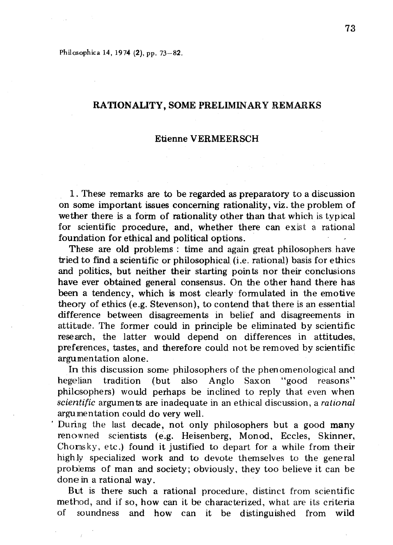Philosophica 14, 1974 (2), pp. 73-82.

## RATIONALITY, SOME PRELIMINARY REMARKS

#### Etienne VERMEERSCH

1. These remarks are to be regarded as preparatory to a discussion on some important issues concerning rationality, viz. the problem of wether there is a form of rationality other than that which is typical for scientific procedure, and, whether there can exist a rational foundation for ethical and political options. .

These are old problems : time and again great philosophers have tried to find a scientific or philosophical (i.e. rational) basis for ethics and politics, but neither their starting points nor their conclusions have ever obtained general consensus. On the other hand there has been a tendency, which is most clearly formulated in the emotive theory of ethics (e.g. Stevenson), to contend that there is an essential difference between disagreements in belief and disagreements in attitude. The former could in principle be eliminated by scientific research, the latter would depend on differences in attitudes, preferences, tastes, and therefore could not be removed by scientific argumentation alone.

In this discussion some philosophers of the phen omenological and hegelian tradition (but also Anglo Saxon "good reasons" philosophers) would perhaps be inclined to reply that even when *scientific* argumen ts are inadequate in an ethical discussion, a rational argumentation could do very well.

. During the last decade, not only philosophers but a good many renowned scientists (e.g. Heisenberg, Monod, Eccles, Skinner, Choms ky, etc.) found it justified to depart for a while from their highly specialized work and to devote themselves to the general problems of man and society; obviously, they too believe it can be done in a rational way.

But is there such a rational procedure, distinct from scientific method, and if so, how can it be characterized, what are its criteria of soundness and how can it be distinguished from wild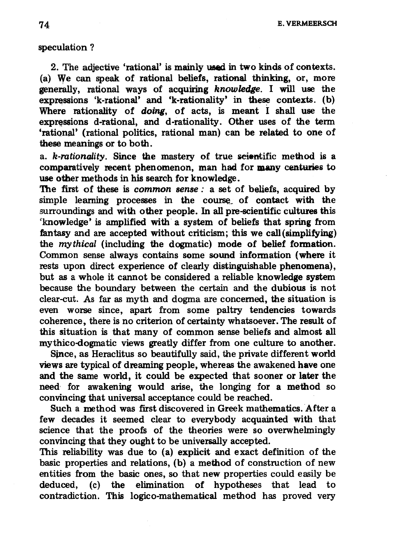T<sub>4</sub> E. VERMEERSCH

## speculation ?

2. The adjective 'rational' is mainly used in two kinds of contexts. (a) We can speak of rational beliefs, rational thinking, or, more generally, rational ways of acquiring *knowledge.* I will use the expressions 'k-rational' and 'k-rationality' in these contexts. (b) Where rationality of *doing*, of acts, is meant I shall use the expressions d-rational, and d-rationality. Other uses of the term 'rational' (rational politics, rational man) can be related to one of these meanings or to both.

a. k-rationality. Since the mastery of true scientific method is a comparatively recent phenomenon, man had for many centuries to use other methods in his search for knowledge.

The first of these is *common sense:* a set of beliefs, acquired by simple learning processes in the course of contact with the surroundings and with other people. In all pre-scientific cultures this 'knowledge' is amplified with a system of beliefs that spring from fantasy and are accepted without criticism; this we call(simplifying) the mythical (including the dogmatic) mode of belief formation. Common sense always contains some sound infonnation (where it rests upon direct experience of clearly distinguishable phenomena), but as a whole it cannot be considered a reliable knowledge system because the boundary between the certain and the dubious is not clear-cut. As far as myth and dogma are concerned, the situation is even worse since, apart from some paltry tendencies towards coherence, there is no criterion of certainty whatsoever. The result of this situation is that many of common sense beliefs and almost all mythico-dogmatic views greatly differ from one culture to another.

Since, as Heraclitus so beautifully said, the private different world views are typical of dreaming people, whereas the awakened have one and the same world, it could be expected that sooner or later the need, for awakening would arise, the longing for a method so convincing that universal acceptance could be reached.

Such a method was first discovered in Greek mathematics. After a few decades it seemed clear to everybody acquainted with that science that the proofs of the theories were so overwhelmingly convincing that they ought to be universally accepted.

This reliability was due to (a) explicit and exact definition of the basic properties and relations, (b) a method of construction of new entities from the basic ones, so that new properties could easily be deduced, (c) the elimination of hypotheses that lead to contradiction. This logico-mathematical method has proved very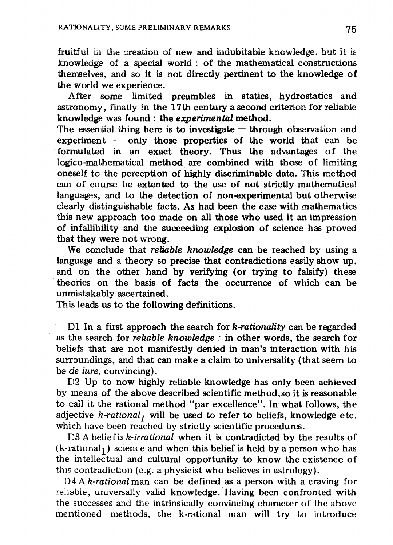fruitful in the creation of new and indubitable knowledge, but it is knowledge of a special world : of the mathematical constructions themselves, and so it is not directly pertinent to the knowledge of the world we experience.

After some limited preambles in statics, hydrostatics and astronomy, finally in the 17th century a second criterion for reliable knowledge was found: the *experimental* method.

The essential thing here is to investigate  $-$  through observation and experiment  $-$  only those properties of the world that can be formulated in an exact theory. Thus the advantages of the logico-mathematical method are combined with those of limiting oneself to the perception of highly discriminable data. This method can of course be extented to the use of not strictly mathematical languages, and to the detection of non-experimental but otherwise clearly distinguishable facts. As had been the case with mathematics this new approach too made on all those who used it an impression of infallibility and the succeeding explosion of science has proved that they were not wrong.

We conclude that *reliable knowledge* can ·be reached by using a language and a theory so precise that contradictions easily show up, and on the other hand by verifying (or trying to falsify) these . theories on the basis of facts the occurrence of which can be unmistakably ascertained.

This leads us to the following definitions.

D1 In a first approach the search for *k-rationality* can be regarded as the search for *reliable knowledge:* in other words, the search for beliefs that are not manifestly denied in man's interaction with his surroundings, and that can make a claim to universality (that seem to be de *iure,* convincing).

D2 Up to now highly reliable knowledge has only been achieved by means of the above described scientific method.so it is reasonable to call it the rational method "par excellence". In what follows, the adjective  $k$ -rational<sub>1</sub> will be used to refer to beliefs, knowledge etc. which have been reached by strictly scientific procedures.

D3 A belief is *k-irrational* when it is contradicted by the results of  $(k$ -rational<sub>1</sub>) science and when this belief is held by a person who has the intellectual and cultural opportunity to know the existence of this contradiction (e.g. a physicist who believes in astrology).

D<sub>4</sub> A *k*-rational man can be defined as a person with a craving for reliable, umversally valid knowledge. Having been confronted with the successes and the intrinsically convincing character of the above mentioned methods, the k-rational man will try to introduce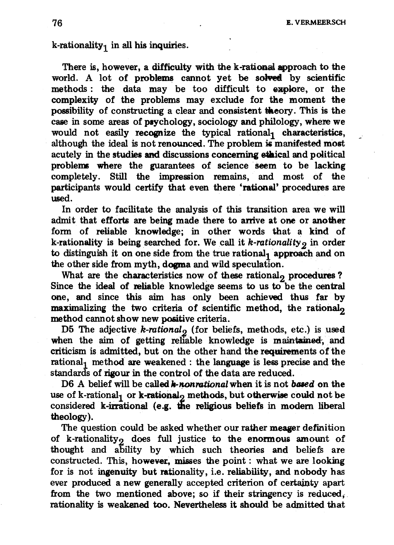k-rationality<sub>1</sub> in all his inquiries.

There is, however, a difficulty with the k-rational approach to the world. A lot of problems cannot yet be solved by scientific methods: the data may be too difficult to explore, or the complexity of the problems may exclude for the moment the possibility of constructing a clear and consistent theory. This is the case in some areas of ptychology, sociology and philology, where we would not easily recognize the typical rational, characteristics, although the ideal is not renounced. The problem is manifested most acutely in the studies and discussions concerning ethical and political problems where the guarantees of science seem to be lacking completely. Still the impression remains, and most of the participants would certify that even there 'rational' procedures are used.

In order to facilitate the analysis of this transition area we will admit that efforts are being made there to arrive at one or another form of reliable knowledge; in other words that a kind of k-rationality is being searched for. We call it k-rationality<sub>2</sub> in order to distinguish it on one side from the true rational<sub>1</sub> approach and on the other side from myth, dogma and wild speculation.

What are the characteristics now of these rational, procedures ? Since the ideal of reliable knowledge seems to us to be the central one, and since this aim has only been achieved thus far by maximalizing the two criteria of scientific method, the rational<sub>2</sub> method cannot show new positive criteria.

D5 The adjective  $k$ -rational<sub>2</sub> (for beliefs, methods, etc.) is used when the aim of getting reliable knowledge is maintained, and criticism is admitted, but on the other hand the requirements of the rational<sub>1</sub> method are weakened: the language is less precise and the standards of rigour in the control of the data are reduced.

D6 A belief will be called  $k$ -nonrational when it is not based on the use of k-rational<sub>1</sub> or k-rational<sub>2</sub> methods, but otherwise could not be considered k-irrational (e.g. the religious beliefs in modem liberal theology).

The question could be asked whether our rather meager definition of k-rationality<sub>2</sub> does full justice to the enormous amount of thought and ability by which such theories and beliefs are constructed. This, however, misses the point: what we are looking for is not ingenuity but rationality, i.e. reliability, and nobody has ever produced a new generally accepted criterion of certainty apart from the two mentioned above; so if their stringency is reduced. rationality is weakened too. Nevertheless it should be admitted that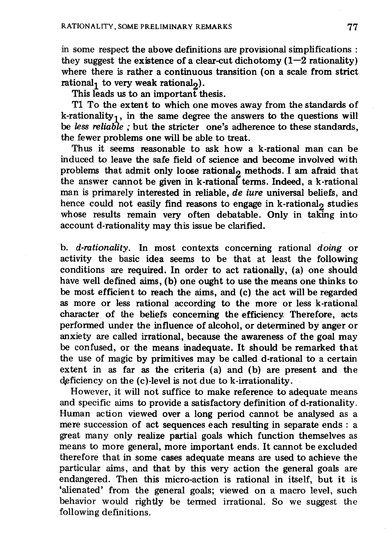in some respect the above definitions are provisional simplifications: they suggest the existence of a clear-cut dichotomy  $(1-2 \text{ rationality})$ where there is rather a continuous transition (on a scale from strict rational, to very weak rational,).

This leads us to an important thesis.

Tl To the extent to which one moves away from the standards of k-rationality<sub>1</sub>, in the same degree the answers to the questions will be *less reliable;* but the stricter one's adherence to these standards, the fewer problems one will be able to treat.

Thus .it seems reasonable to ask how a k-rational man can be induced to leave the safe field of science and become involved with problems that admit only loose rational, methods. I am afraid that the answer cannot be given in  $k$ -rational terms. Indeed, a k-rational man is primarely interested in reliable, de iure universal beliefs, and hence could not easily find reasons to engage in k-rational<sub>2</sub> studies whose results remain very often debatable. Only in taking into account d-rationality may this issue be clarified.

b. d-rationality. In most contexts concerning rational doing or activity the basic idea seems to be that at least the following conditions are required. In order to act rationally, (a) one should have well defined aims, (b) one ought to use the means one thinks to be most efficient to reach the aims, and (c) the act will be regarded as more or less rational according to the more or less k-rational character of the beliefs concerning the efficiency. Therefore, acts performed under the influence of alcohol, or determined by anger or anxiety are called irrational, because the awareness of the goal may be confused, or the means inadequate. It should be remarked that the use of magic by primitives may be called d-rational to a certain extent in as far as the criteria (a) and (b) are present and the  $deficiency$  on the  $(c)$ -level is not due to k-irrationality.

However, it will not suffice to make reference to adequate means and specific aims to provide a satisfactory definition of d-rationality. Human action viewed over a long period cannot be analysed as a mere succession of act sequences each resulting in separate ends: a great many only realize partial goals which function themselves as means to more general, more important ends. It cannot be excluded therefore that in some cases adequate means are used to achieve the particular aims, and that by this very action the general goals are endangered. Then this micro-action is rational in itself, but it is 'alienated' from the general goals; viewed on a macro level, such behavior would rightly be termed irrational. So we suggest the following definitions.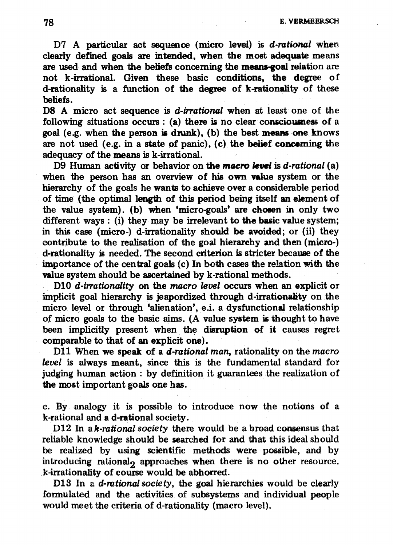# 78 E. VERMEERSCH

D7 A particular act sequence (micro level) is *d-rational* when clearly defined goals are intended, when the most adequate means are used and when the beliefs concerning the means-goal relation are not k-irrational. Given these basic conditions, the degree of d-rationality is a function of the degree of k-rationality of these beliefs.

D8 A micro act sequence is *d-irrational* when at least one of the following situations occurs: (a) there is no clear consciousness of a goal (e.g. when the person is drunk), (b) the best means one knows are not used (e.g. in a state of panic), (c) the belief conceming the adequacy of the means is k-irrational.

D9 Human activity or behavior on the macro level is *d-rational* (a) when the person has an overview of his own value system or the hierarchy of the goals he wants to achieve over a considerable period of time (the optimal length of this period being itself an element of the value system). (b) when 'micro-goals' are chosen in only two different ways: (i) they may be irrelevant to the basic value system; in this case (micro-) d-irrationality should be avoided; or (ii) they contribute to the realisation of the goal hierarchy and then (micro-) d-rationality is needed. The second criterion is stricter because of the importance of the central goals (c) In both cases the relation with the value system should be ascertained by k-rational methods.

DlO *d-irrationality* on the *macro level* occurs when an explicit or implicit goal hierarchy is jeapordized through d-irrationality on the micro level or through 'alienation', e.i. a dysfunctional relationship of micro goals to the basic aims. (A value system is thought to have been implicitly present when the disruption of it causes regret comparable to that of an explicit one).

D11 When we speak of a *d-rational man*, rationality on the *macro level* is always meant, since this is the fundamental standard for judging human action : by definition it guarantees the realization of the most important goals one has.

c. By analogy it is possible to introduce now the notions of a k-rational and a d-rational society.

D12 In a *k*-rational society there would be a broad consensus that reliable knowledge should be searched for and that this ideal should be realized by using scientific methods were possible, and by introducing rational<sub>2</sub> approaches when there is no other resource. k-irrationality of course would be abhorred.

DlS In a *d-rational society,* the goal hierarchies would be clearly formulated and the activities of subsystems· and individual people would meet the criteria of d-rationality (macro level).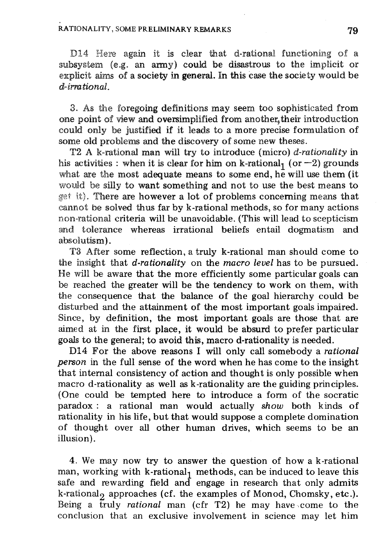D14 Here again it is clear that d-rational functioning of a subsystem {e.g. an army) could be disastrous to the implicit or explicit aims of a society in general. In this case the society would be *dcirmtional.* 

3. As the foregoing definitions may seem too sophisticated from one point of view and oversimplified from another, their introduction could only be justified if it leads to a more precise fonnulation of some old problems and the discovery of some new theses.

T2 A k-rational man will try to introduce (micro) *d-rationality* in his activities: when it is clear for him on k-rational<sub>1</sub> (or  $-2$ ) grounds what are the most adequate means to some end, he will use them (it would be silly to want something and not to use the best means to get it). There are however a lot of problems concerning means that eannot be solved thus far by k-rational methods, so for many actions non-rational criteria will be unavoidable. (This will lead to scepticism and tolerance whereas irrational beliefs entail dogmatism and absolutism).

T3 After some reflection, a truly k-rational man should come to the insight that *d-rationality* on the *macro level* has to be pursued. He will be aware that the more efficiently some particular goals can be reached the greater will be the tendency to work on them, with the consequence that the balance of the goal hierarchy could be disturbed and the attainment of the most important goals impaired. Since, by definition, the most important goals are those that are aimed at in the first place, it would be absurd to prefer particular goals to the general; to avoid this, macro d-rationality is needed.

D14 For the above reasons I will only call somebody a *rational person* in the full sense of the word when he has come to the insight that internal consistency of action and thought is only possible when macro d-rationality as well as k-rationality are the guiding principles. (One could be tempted here to introduce a form of the socratic paradox: a rational man would actually *show* both kinds of rationality in his life, but that would suppose a complete domination of thought over all other human drives, which seems to be an illusion).

4. We may now try to answer the question of how a k-rational man, working with  $k$ -rational<sub>1</sub> methods, can be induced to leave this safe and rewarding field and engage in research that only admits k-rational<sub>2</sub> approaches (cf. the examples of Monod, Chomsky, etc.). Being a truly *rational* man (cfr T2) he may have come to the conclusion that an exclusive involvement in science may let him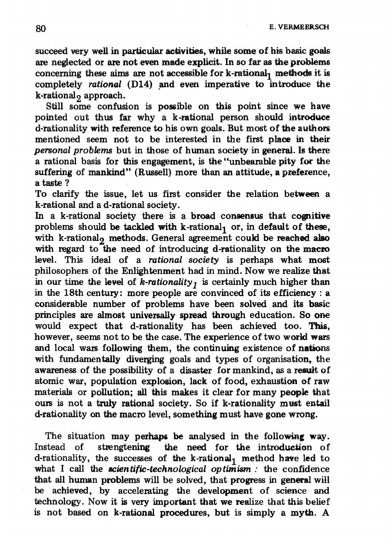80 E. VERMEERSCH

succeed very well in particular activities, while some of his basic goals are neglected or are not even made explicit. In so far as the problems concerning these aims are not accessible for  $k$ -rational<sub>1</sub> methods it is completely *rational* (D14) and even imperative to introduce the k-rational<sub>2</sub> approach.

Still some confusion is possible on this point since we have pointed out thus far why a k-rational person should introduce d-rationality with reference to his own goals. But most of the authors mentioned seem not to be interested in the first place in their *personal problems* but in those of human society in general. Is there a rational basis for this engagement, is the "unbearable pity for the suffering of mankind" (Russell) more than an attitude, a preference, a taste?

To clarify the issue, let us first consider the relation between a k-rational and a d-rational society.

In a k-rational society there is a broad consensus that cognitive problems should be tackled with  $k$ -rational<sub>1</sub> or, in default of these, with  $k$ -rational<sub>2</sub> methods. General agreement could be reached also with regard to the need of introducing d-rationality on the macro level. This ideal of a *rational society* is perhaps what most philosophers of the Enlightenment had in mind. Now we realize that in our time the level of  $\bar{k}$ -rationality<sub>1</sub> is certainly much higher than in the 18th century: more people are convinced of its efficiency: a considerable number of problems have been solved and its basic principles are almost universally spread through education. So one would expect that d-rationality has been achieved too. This, however, seems not to be the case. The experience of two world wars and local wars following them, the continuing existence of nations with fundamentally diverging goals and types of organisation, the awareness of the possibility of a disaster for mankind, as a result of atomic war, population explosion, lack of food, exhaustion of raw materials or pollution; all this makes it clear for many people that ours is not a truly rational society. So if k-rationality must entail d-rationality on the macro level, something must have gone wrong.

The situation may perhaps be analysed in the following way. Instead of strengtening the need for the introduction of d-rationality, the successes of the k-rational<sub>1</sub> method have led to what I call the *scientific-technological optimism*: the confidence that all human problems will be solved, that progress in general will be achieved, by accelerating the development of science and technology. Now it is very important that we realize that this belief is not based on k-rational procedures, but is simply a myth. A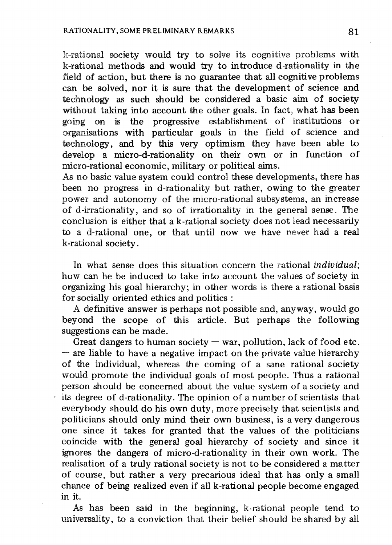k-rational society would try to solve its cognitive problems with k-rational methods and would try to introduce d-rationality in the field of action, but there is no guarantee that all cognitive problems can be solved, nor it is sure that the development of science and technology as such should be considered a basic aim of society without taking into account the other goals. In fact, what has been going on is the progressive establishment of institutions or organisations with particular goals in the field of science and technology, and by this very optimism they have been able to develop a micro-d-rationality on their own or in function of micro-rational economic, military or political aims.

As no basic value system could control these developments, there has been no progress in d-rationality but rather, owing to the greater power and autonomy of the micro-rational subsystems, an increase of d-irrationality, and so of irrationality in the general sense. The conclusion is either that a k-rational society does not lead necessarily to a d-rational one, or that until now we have never had a real k-rational society.

In what sense does this situation concern the rational *individual;*  how can he be induced to take into account the values of society in organizing his goal hierarchy; in other words is there a rational basis for socially oriented ethics and politics:

A definitive answer is perhaps not possible and, anyway, would go beyond the scope of this article. But perhaps the following suggestions can be made.

Great dangers to human society  $-\omega$  war, pollution, lack of food etc.  $-$  are liable to have a negative impact on the private value hierarchy of the individual, whereas the coming of a sane rational society would promote the individual goals of most people. Thus a rational person should be concerned about the value system of a society and  $\cdot$  its degree of d-rationality. The opinion of a number of scientists that everybody should do his own duty, more precisely that scientists and politicians should only mind their own business, is a very dangerous one since it takes for granted that the values of the politicians coincide with the general goal hierarchy of society and since it ignores the dangers of micro-d-rationality in their own work. The realisation of a truly rational society is not to be considered a matter of course, but rather a very precarious ideal that has only a small chance of being realized even if all k-rational people become engaged in it.

As has been said in the beginning, k-rational people tend to universality, to a conviction that their belief should be shared by all